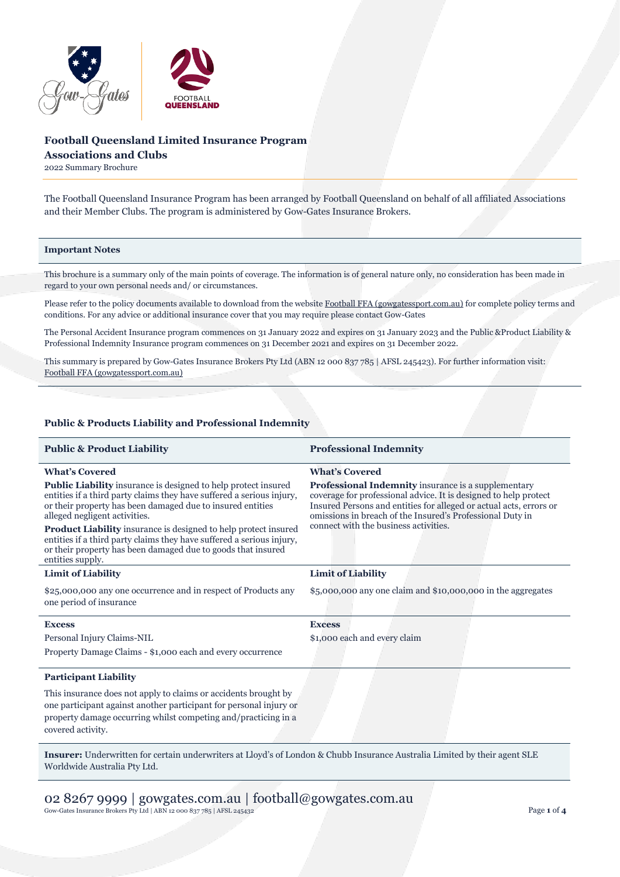

# **Football Queensland Limited Insurance Program**

**Associations and Clubs**

2022 Summary Brochure

The Football Queensland Insurance Program has been arranged by Football Queensland on behalf of all affiliated Associations and their Member Clubs. The program is administered by Gow-Gates Insurance Brokers.

# **Important Notes**

This brochure is a summary only of the main points of coverage. The information is of general nature only, no consideration has been made in regard to your own personal needs and/ or circumstances.

Please refer to the policy documents available to download from the websit[e Football FFA \(gowgatessport.com.au\)](https://football.gowgatessport.com.au/) for complete policy terms and conditions. For any advice or additional insurance cover that you may require please contact Gow-Gates

The Personal Accident Insurance program commences on 31 January 2022 and expires on 31 January 2023 and the Public &Product Liability & Professional Indemnity Insurance program commences on 31 December 2021 and expires on 31 December 2022.

This summary is prepared by Gow-Gates Insurance Brokers Pty Ltd (ABN 12 000 837 785 | AFSL 245423). For further information visit: [Football FFA \(gowgatessport.com.au\)](https://football.gowgatessport.com.au/)

# **Public & Products Liability and Professional Indemnity**

| <b>Public &amp; Product Liability</b>                                                                                                                                                                                                         | <b>Professional Indemnity</b>                                                                                                                                                                                                                                                                              |
|-----------------------------------------------------------------------------------------------------------------------------------------------------------------------------------------------------------------------------------------------|------------------------------------------------------------------------------------------------------------------------------------------------------------------------------------------------------------------------------------------------------------------------------------------------------------|
| <b>What's Covered</b>                                                                                                                                                                                                                         | <b>What's Covered</b>                                                                                                                                                                                                                                                                                      |
| <b>Public Liability</b> insurance is designed to help protect insured<br>entities if a third party claims they have suffered a serious injury,<br>or their property has been damaged due to insured entities<br>alleged negligent activities. | <b>Professional Indemnity</b> insurance is a supplementary<br>coverage for professional advice. It is designed to help protect<br>Insured Persons and entities for alleged or actual acts, errors or<br>omissions in breach of the Insured's Professional Duty in<br>connect with the business activities. |
| Product Liability insurance is designed to help protect insured<br>entities if a third party claims they have suffered a serious injury,<br>or their property has been damaged due to goods that insured<br>entities supply.                  |                                                                                                                                                                                                                                                                                                            |
| <b>Limit of Liability</b>                                                                                                                                                                                                                     | <b>Limit of Liability</b>                                                                                                                                                                                                                                                                                  |
| \$25,000,000 any one occurrence and in respect of Products any<br>one period of insurance                                                                                                                                                     | $$5,000,000$ any one claim and $$10,000,000$ in the aggregates                                                                                                                                                                                                                                             |
| <b>Excess</b>                                                                                                                                                                                                                                 | <b>Excess</b>                                                                                                                                                                                                                                                                                              |
| Personal Injury Claims-NIL                                                                                                                                                                                                                    | \$1,000 each and every claim                                                                                                                                                                                                                                                                               |
| Property Damage Claims - \$1,000 each and every occurrence                                                                                                                                                                                    |                                                                                                                                                                                                                                                                                                            |
| <b>Participant Liability</b>                                                                                                                                                                                                                  |                                                                                                                                                                                                                                                                                                            |
| This insurance does not apply to claims or accidents brought by<br>one participant against another participant for personal injury or<br>property damage occurring whilst competing and/practicing in a<br>covered activity.                  |                                                                                                                                                                                                                                                                                                            |
|                                                                                                                                                                                                                                               |                                                                                                                                                                                                                                                                                                            |

**Insurer:** Underwritten for certain underwriters at Lloyd's of London & Chubb Insurance Australia Limited by their agent SLE Worldwide Australia Pty Ltd.

02 8267 9999 | gowgates.com.au | football@gowgates.com.au Gow-Gates Insurance Brokers Pty Ltd | ABN 12 000 837 785 | AFSL 245432 Page **1** of **4**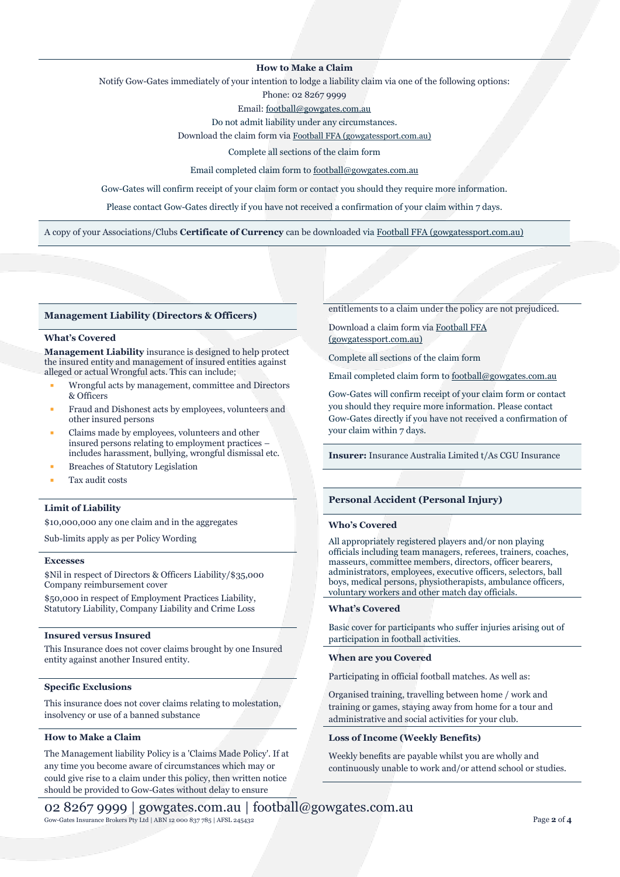### **How to Make a Claim**

Notify Gow-Gates immediately of your intention to lodge a liability claim via one of the following options:

Phone: 02 8267 9999

Email[: football@gowgates.com.au](mailto:football@gowgates.com.au)

Do not admit liability under any circumstances.

Download the claim form via [Football FFA \(gowgatessport.com.au\)](https://football.gowgatessport.com.au/)

Complete all sections of the claim form

Email completed claim form to [football@gowgates.com.au](mailto:football@gowgates.com.au)

Gow-Gates will confirm receipt of your claim form or contact you should they require more information.

Please contact Gow-Gates directly if you have not received a confirmation of your claim within 7 days.

A copy of your Associations/Clubs **Certificate of Currency** can be downloaded via [Football FFA \(gowgatessport.com.au\)](https://football.gowgatessport.com.au/)

#### **Management Liability (Directors & Officers)**

### **What's Covered**

**Management Liability** insurance is designed to help protect the insured entity and management of insured entities against alleged or actual Wrongful acts. This can include;

- Wrongful acts by management, committee and Directors & Officers
- Fraud and Dishonest acts by employees, volunteers and other insured persons
- Claims made by employees, volunteers and other insured persons relating to employment practices – includes harassment, bullying, wrongful dismissal etc.
- **Breaches of Statutory Legislation**
- Tax audit costs

#### **Limit of Liability**

\$10,000,000 any one claim and in the aggregates

Sub-limits apply as per Policy Wording

#### **Excesses**

\$Nil in respect of Directors & Officers Liability/\$35,000 Company reimbursement cover

\$50,000 in respect of Employment Practices Liability, Statutory Liability, Company Liability and Crime Loss

### **Insured versus Insured**

This Insurance does not cover claims brought by one Insured entity against another Insured entity.

#### **Specific Exclusions**

This insurance does not cover claims relating to molestation, insolvency or use of a banned substance

# **How to Make a Claim**

The Management liability Policy is a 'Claims Made Policy'. If at any time you become aware of circumstances which may or could give rise to a claim under this policy, then written notice should be provided to Gow-Gates without delay to ensure

entitlements to a claim under the policy are not prejudiced.

Download a claim form vi[a Football FFA](https://football.gowgatessport.com.au/)  [\(gowgatessport.com.au\)](https://football.gowgatessport.com.au/)

Complete all sections of the claim form

Email completed claim form to [football@gowgates.com.au](mailto:football@gowgates.com.au)

Gow-Gates will confirm receipt of your claim form or contact you should they require more information. Please contact Gow-Gates directly if you have not received a confirmation of your claim within 7 days.

**Insurer:** Insurance Australia Limited t/As CGU Insurance

### **Personal Accident (Personal Injury)**

#### **Who's Covered**

All appropriately registered players and/or non playing officials including team managers, referees, trainers, coaches, masseurs, committee members, directors, officer bearers, administrators, employees, executive officers, selectors, ball boys, medical persons, physiotherapists, ambulance officers, voluntary workers and other match day officials.

#### **What's Covered**

Basic cover for participants who suffer injuries arising out of participation in football activities.

# **When are you Covered**

Participating in official football matches. As well as:

Organised training, travelling between home / work and training or games, staying away from home for a tour and administrative and social activities for your club.

### **Loss of Income (Weekly Benefits)**

Weekly benefits are payable whilst you are wholly and continuously unable to work and/or attend school or studies.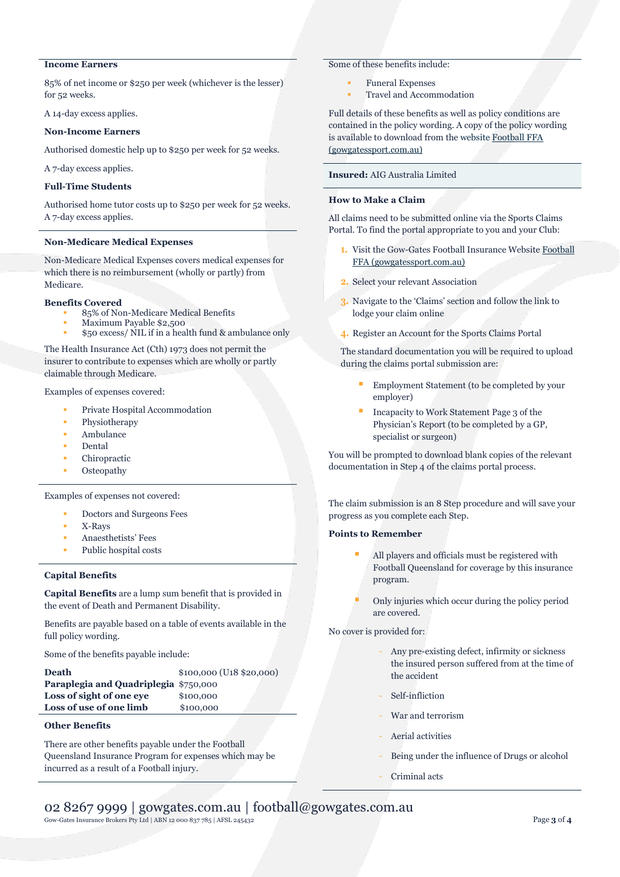# **Income Earners**

85% of net income or \$250 per week (whichever is the lesser) for 52 weeks.

A 14-day excess applies.

### **Non-Income Earners**

Authorised domestic help up to \$250 per week for 52 weeks.

A 7-day excess applies.

# **Full-Time Students**

Authorised home tutor costs up to \$250 per week for 52 weeks. A 7-day excess applies.

#### **Non-Medicare Medical Expenses**

Non-Medicare Medical Expenses covers medical expenses for which there is no reimbursement (wholly or partly) from Medicare.

#### **Benefits Covered**

- 85% of Non-Medicare Medical Benefits
- Maximum Payable \$2,500 \$50 excess/ NIL if in a health fund & ambulance only

The Health Insurance Act (Cth) 1973 does not permit the insurer to contribute to expenses which are wholly or partly claimable through Medicare.

Examples of expenses covered:

- Private Hospital Accommodation
- Physiotherapy
- Ambulance
- **Dental**
- Chiropractic
- **Osteopathy**

Examples of expenses not covered:

- Doctors and Surgeons Fees
- X-Rays
- Anaesthetists' Fees
- Public hospital costs

# **Capital Benefits**

**Capital Benefits** are a lump sum benefit that is provided in the event of Death and Permanent Disability.

Benefits are payable based on a table of events available in the full policy wording.

Some of the benefits payable include:

| <b>Death</b>                          | $$100,000$ (U <sub>18</sub> $$20,000$ ) |
|---------------------------------------|-----------------------------------------|
| Paraplegia and Quadriplegia \$750,000 |                                         |
| Loss of sight of one eve              | \$100,000                               |
| Loss of use of one limb               | \$100,000                               |
|                                       |                                         |

# **Other Benefits**

There are other benefits payable under the Football Queensland Insurance Program for expenses which may be incurred as a result of a Football injury.

# Some of these benefits include:

- **Funeral Expenses**
- Travel and Accommodation

Full details of these benefits as well as policy conditions are contained in the policy wording. A copy of the policy wording is available to download from the website [Football FFA](https://football.gowgatessport.com.au/)  [\(gowgatessport.com.au\)](https://football.gowgatessport.com.au/)

# **Insured:** AIG Australia Limited

# **How to Make a Claim**

All claims need to be submitted online via the Sports Claims Portal. To find the portal appropriate to you and your Club:

- **1.** Visit the Gow-Gates Football Insurance Websit[e Football](https://football.gowgatessport.com.au/)  [FFA \(gowgatessport.com.au\)](https://football.gowgatessport.com.au/)
- **2.** Select your relevant Association
- **3.** Navigate to the 'Claims' section and follow the link to lodge your claim online
- **4.** Register an Account for the Sports Claims Portal

The standard documentation you will be required to upload during the claims portal submission are:

- Employment Statement (to be completed by your employer)
- Incapacity to Work Statement Page 3 of the Physician's Report (to be completed by a GP, specialist or surgeon)

You will be prompted to download blank copies of the relevant documentation in Step 4 of the claims portal process.

The claim submission is an 8 Step procedure and will save your progress as you complete each Step.

# **Points to Remember**

- All players and officials must be registered with Football Queensland for coverage by this insurance program.
- Only injuries which occur during the policy period are covered.

No cover is provided for:

- Any pre-existing defect, infirmity or sickness the insured person suffered from at the time of the accident
- Self-infliction
- War and terrorism
- Aerial activities
- Being under the influence of Drugs or alcohol
- Criminal acts